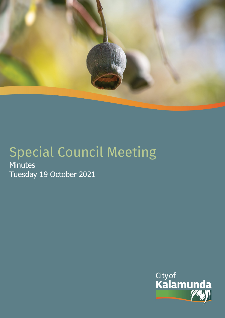

# Special Council Meeting

**Minutes** Tuesday 19 October 2021

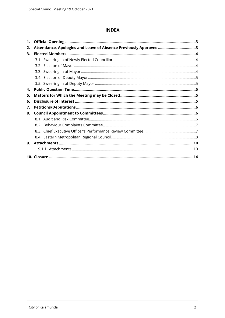# **INDEX**

| 1. |                                                                 |  |
|----|-----------------------------------------------------------------|--|
| 2. | Attendance, Apologies and Leave of Absence Previously Approved3 |  |
| 3. |                                                                 |  |
|    |                                                                 |  |
|    |                                                                 |  |
|    |                                                                 |  |
|    |                                                                 |  |
|    |                                                                 |  |
| 4. |                                                                 |  |
| 5. |                                                                 |  |
| 6. |                                                                 |  |
| 7. |                                                                 |  |
| 8. |                                                                 |  |
|    |                                                                 |  |
|    |                                                                 |  |
|    |                                                                 |  |
|    |                                                                 |  |
| 9. |                                                                 |  |
|    |                                                                 |  |
|    |                                                                 |  |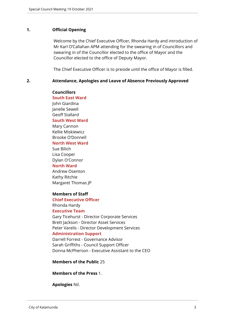#### <span id="page-2-0"></span>**1. Official Opening**

Welcome by the Chief Executive Officer, Rhonda Hardy and introduction of Mr Karl O'Callahan APM attending for the swearing in of Councillors and swearing in of the Councillor elected to the office of Mayor and the Councillor elected to the office of Deputy Mayor.

The Chief Executive Officer is to preside until the office of Mayor is filled.

#### <span id="page-2-1"></span>**2. Attendance, Apologies and Leave of Absence Previously Approved**

**Councillors South East Ward**  John Giardina Janelle Sewell Geoff Stallard **South West Ward**

Mary Cannon Kellie Miskiewicz Brooke O'Donnell **North West Ward**

Sue Bilich Lisa Cooper Dylan O'Connor

#### **North Ward**

Andrew Osenton Kathy Ritchie Margaret Thomas JP

#### **Members of Staff**

**Chief Executive Officer** Rhonda Hardy **Executive Team** Gary Ticehurst - Director Corporate Services Brett Jackson - Director Asset Services Peter Varelis - Director Development Services **Administration Support**

Darrell Forrest - Governance Advisor Sarah Griffiths - Council Support Officer Donna McPherson - Executive Assistant to the CEO

**Members of the Public** 25

**Members of the Press** 1.

**Apologies** Nil.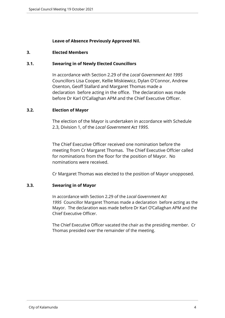# **Leave of Absence Previously Approved Nil.**

# <span id="page-3-0"></span>**3. Elected Members**

# <span id="page-3-1"></span>**3.1. Swearing in of Newly Elected Councillors**

In accordance with Section 2.29 of the *Local Government Act 1995* Councillors Lisa Cooper, Kellie Miskiewicz, Dylan O'Connor, Andrew Osenton, Geoff Stallard and Margaret Thomas made a declaration before acting in the office. The declaration was made before Dr Karl O'Callaghan APM and the Chief Executive Officer.

# <span id="page-3-2"></span>**3.2. Election of Mayor**

The election of the Mayor is undertaken in accordance with Schedule 2.3, Division 1, of the *Local Government Act 1995.*

The Chief Executive Officer received one nomination before the meeting from Cr Margaret Thomas. The Chief Executive Offcier called for nominations from the floor for the position of Mayor. No nominations were received.

Cr Margaret Thomas was elected to the position of Mayor unopposed.

# <span id="page-3-3"></span>**3.3. Swearing in of Mayor**

In accordance with Section 2.29 of the *Local Government Act 1995* Councillor Margaret Thomas made a declaration before acting as the Mayor. The declaration was made before Dr Karl O'Callaghan APM and the Chief Executive Officer.

The Chief Executive Officer vacated the chair as the presiding member. Cr Thomas presided over the remainder of the meeting.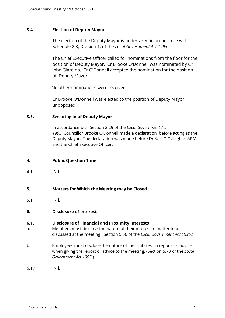#### <span id="page-4-0"></span>**3.4. Election of Deputy Mayor**

The election of the Deputy Mayor is undertaken in accordance with Schedule 2.3, Division 1, of the *Local Government Act 1995.*

The Chief Executive Officer called for nominations from the floor for the position of Deputy Mayor. Cr Brooke O'Donnell was nominated by Cr John Giardina. Cr O'Donnell accepted the nomination for the position of Deputy Mayor.

No other nominations were received.

Cr Brooke O'Donnell was elected to the position of Deputy Mayor unopposed.

#### <span id="page-4-1"></span>**3.5. Swearing in of Deputy Mayor**

In accordance with Section 2.29 of the *Local Government Act 1995* Councillor Brooke O'Donnell made a declaration before acting as the Deputy Mayor. The declaration was made before Dr Karl O'Callaghan APM and the Chief Executive Officer.

#### <span id="page-4-2"></span>**4. Public Question Time**

4.1 NIl.

# <span id="page-4-3"></span>**5. Matters for Which the Meeting may be Closed**

5.1 NIl.

# <span id="page-4-4"></span>**6. Disclosure of Interest**

#### **6.1. Disclosure of Financial and Proximity Interests**

- a. Members must disclose the nature of their interest in matter to be discussed at the meeting. (Section 5.56 of the *Local Government Act 1995*.)
- b. Employees must disclose the nature of their interest in reports or advice when giving the report or advice to the meeting. (Section 5.70 of the *Local Government Act 1995*.)
- 6.1.1 NIl.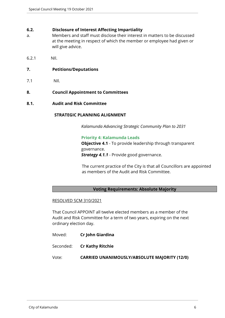#### **6.2. Disclosure of Interest Affecting Impartiality**

- a. Members and staff must disclose their interest in matters to be discussed at the meeting in respect of which the member or employee had given or will give advice.
- 6.2.1 NIl.
- <span id="page-5-0"></span>**7. Petitions/Deputations**
- 7.1 NIl.

#### <span id="page-5-1"></span>**8. Council Appointment to Committees**

<span id="page-5-2"></span>**8.1. Audit and Risk Committee**

#### **STRATEGIC PLANNING ALIGNMENT**

*Kalamunda Advancing Strategic Community Plan to 2031*

**Priority 4: Kalamunda Leads Objective 4.1** - To provide leadership through transparent governance. *Strategy 4.1.1* - Provide good governance.

The current practice of the City is that all Councillors are appointed as members of the Audit and Risk Committee.

#### **Voting Requirements: Absolute Majority**

#### RESOLVED SCM 310/2021

That Council APPOINT all twelve elected members as a member of the Audit and Risk Committee for a term of two years, expiring on the next ordinary election day.

- Moved: **Cr John Giardina**
- Seconded: **Cr Kathy Ritchie**

Vote: **CARRIED UNANIMOUSLY/ABSOLUTE MAJORITY (12/0)**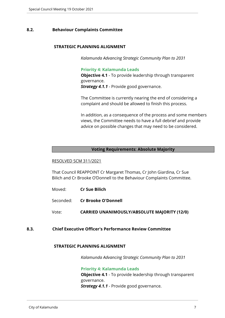#### <span id="page-6-0"></span>**8.2. Behaviour Complaints Committee**

#### **STRATEGIC PLANNING ALIGNMENT**

*Kalamunda Advancing Strategic Community Plan to 2031*

#### **Priority 4: Kalamunda Leads**

**Objective 4.1** - To provide leadership through transparent governance. **Strategy 4.1.1** - Provide good governance.

The Committee is currently nearing the end of considering a complaint and should be allowed to finish this process.

In addition, as a consequence of the process and some members views, the Committee needs to have a full debrief and provide advice on possible changes that may need to be considered.

#### **Voting Requirements: Absolute Majority**

#### RESOLVED SCM 311/2021

That Council REAPPOINT Cr Margaret Thomas, Cr John Giardina, Cr Sue Bilich and Cr Brooke O'Donnell to the Behaviour Complaints Committee.

- Moved: **Cr Sue Bilich**
- Seconded: **Cr Brooke O'Donnell**
- Vote: **CARRIED UNANIMOUSLY/ABSOLUTE MAJORITY (12/0)**

# <span id="page-6-1"></span>**8.3. Chief Executive Officer's Performance Review Committee**

#### **STRATEGIC PLANNING ALIGNMENT**

*Kalamunda Advancing Strategic Community Plan to 2031*

#### **Priority 4: Kalamunda Leads**

**Objective 4.1** - To provide leadership through transparent governance. *Strategy 4.1.1* - Provide good governance.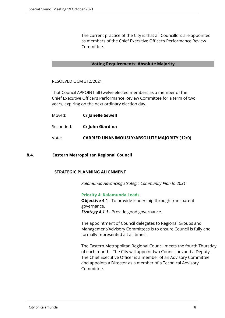The current practice of the City is that all Councillors are appointed as members of the Chief Executive Officer's Performance Review Committee.

#### **Voting Requirements: Absolute Majority**

#### RESOLVED OCM 312/2021

That Council APPOINT all twelve elected members as a member of the Chief Executive Officer's Performance Review Committee for a term of two years, expiring on the next ordinary election day.

| Moved:    | <b>Cr Janelle Sewell</b>                            |
|-----------|-----------------------------------------------------|
| Seconded: | Cr John Giardina                                    |
| Vote:     | <b>CARRIED UNANIMOUSLY/ABSOLUTE MAJORITY (12/0)</b> |

#### <span id="page-7-0"></span>**8.4. Eastern Metropolitan Regional Council**

#### **STRATEGIC PLANNING ALIGNMENT**

*Kalamunda Advancing Strategic Community Plan to 2031*

#### **Priority 4: Kalamunda Leads**

**Objective 4.1** - To provide leadership through transparent governance. *Strategy 4.1.1* - Provide good governance.

The appointment of Council delegates to Regional Groups and Management/Advisory Committees is to ensure Council is fully and formally represented a t all times.

The Eastern Metropolitan Regional Council meets the fourth Thursday of each month. The City will appoint two Councillors and a Deputy. The Chief Executive Officer is a member of an Advisory Committee and appoints a Director as a member of a Technical Advisory Committee.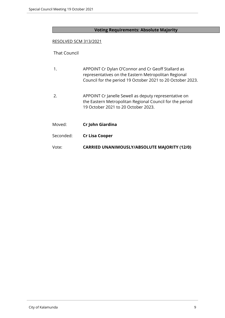# **Voting Requirements: Absolute Majority**

#### RESOLVED SCM 313/2021

#### That Council

- 1. APPOINT Cr Dylan O'Connor and Cr Geoff Stallard as representatives on the Eastern Metropolitan Regional Council for the period 19 October 2021 to 20 October 2023.
- 2. APPOINT Cr Janelle Sewell as deputy representative on the Eastern Metropolitan Regional Council for the period 19 October 2021 to 20 October 2023.
- Moved: **Cr John Giardina**
- Seconded: **Cr Lisa Cooper**
- Vote: **CARRIED UNANIMOUSLY/ABSOLUTE MAJORITY (12/0)**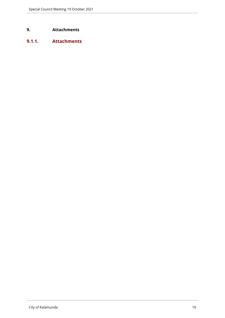# <span id="page-9-0"></span>**9. Attachments**

# <span id="page-9-1"></span>**9.1.1. Attachments**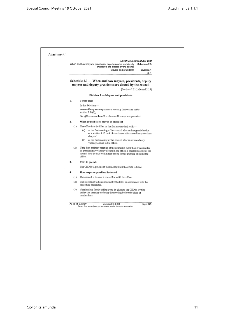|    |     | <b>Local Government Act 1995</b><br>When and how mayors, presidents, deputy mayors and deputy<br>Schedule 2.3<br>presidents are elected by the council<br>Mayors and presidents<br>Division 1<br>cl. 1                                   |
|----|-----|------------------------------------------------------------------------------------------------------------------------------------------------------------------------------------------------------------------------------------------|
|    |     | Schedule 2.3 — When and how mayors, presidents, deputy<br>mayors and deputy presidents are elected by the council                                                                                                                        |
|    |     | [Sections $2.11(1)(b)$ and $2.15$ ]                                                                                                                                                                                                      |
|    |     | Division 1 - Mayors and presidents                                                                                                                                                                                                       |
| 1. |     | <b>Terms</b> used                                                                                                                                                                                                                        |
|    |     | In this Division -                                                                                                                                                                                                                       |
|    |     | extraordinary vacancy means a vacancy that occurs under<br>section 2.34(1);                                                                                                                                                              |
|    |     | the office means the office of councillor mayor or president.                                                                                                                                                                            |
| 2. |     | When council elects mayor or president                                                                                                                                                                                                   |
|    | (1) | The office is to be filled as the first matter dealt with -<br>at the first meeting of the council after an inaugural election<br>(a)<br>or a section 4.13 or 4.14 election or after an ordinary elections                               |
|    |     | day; and<br>at the first meeting of the council after an extraordinary<br>(b)<br>vacancy occurs in the office.                                                                                                                           |
|    | (2) | If the first ordinary meeting of the council is more than 3 weeks after<br>an extraordinary vacancy occurs in the office, a special meeting of the<br>council is to be held within that period for the purpose of filling the<br>office. |
| 3. |     | CEO to preside                                                                                                                                                                                                                           |
|    |     | The CEO is to preside at the meeting until the office is filled.                                                                                                                                                                         |
| 4. |     | How mayor or president is elected                                                                                                                                                                                                        |
|    | (1) | The council is to elect a councillor to fill the office.                                                                                                                                                                                 |
|    | (2) | The election is to be conducted by the CEO in accordance with the<br>procedure prescribed.                                                                                                                                               |
|    | (3) | Nominations for the office are to be given to the CEO in writing<br>before the meeting or during the meeting before the close of<br>nominations.                                                                                         |
|    |     |                                                                                                                                                                                                                                          |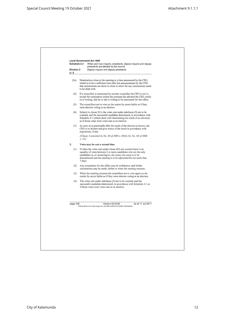| Nominations close at the meeting at a time announced by the CEO,<br>(3a)<br>which is to be a sufficient time after the announcement by the CEO<br>that nominations are about to close to allow for any nominations made<br>to be dealt with.<br>If a councillor is nominated by another councillor the CEO is not to<br>(4)<br>accept the nomination unless the nominee has advised the CEO, orally<br>or in writing, that he or she is willing to be nominated for the office.<br>(5)<br>The councillors are to vote on the matter by secret ballot as if they<br>were electors voting at an election.<br>Subject to clause $5(1)$ , the votes cast under subclause (5) are to be<br>(6)<br>counted, and the successful candidate determined, in accordance with<br>Schedule 4.1 (which deals with determining the result of an election)<br>as if those votes were votes cast at an election.<br>(7) As soon as is practicable after the result of the election is known, the<br>CEO is to declare and give notice of the result in accordance with<br>regulations, if any.<br>[Clause 4 amended by No. 49 of 2004 s. 69(2)-(5); No. 66 of 2006<br>s. 14.J<br>5.<br>Votes may be cast a second time<br>If when the votes cast under clause 4(5) are counted there is an<br>(1)<br>equality of votes between 2 or more candidates who are the only<br>candidates in, or remaining in, the count, the count is to be<br>discontinued and the meeting is to be adjourned for not more than<br>7 days.<br>Any nomination for the office may be withdrawn, and further<br>(2)<br>nominations may be made, before or when the meeting resumes.<br>When the meeting resumes the councillors are to vote again on the<br>(3)<br>matter by secret ballot as if they were electors voting at an election.<br>The votes cast under subclause (3) are to be counted, and the<br>(4)<br>successful candidate determined, in accordance with Schedule 4.1 as<br>if those votes were votes cast at an election. | Schedule 2.3<br>Division 2<br>cl. 5 |  | When and how mayors, presidents, deputy mayors and deputy<br>presidents are elected by the council<br>Deputy mayors and deputy presidents |  |
|----------------------------------------------------------------------------------------------------------------------------------------------------------------------------------------------------------------------------------------------------------------------------------------------------------------------------------------------------------------------------------------------------------------------------------------------------------------------------------------------------------------------------------------------------------------------------------------------------------------------------------------------------------------------------------------------------------------------------------------------------------------------------------------------------------------------------------------------------------------------------------------------------------------------------------------------------------------------------------------------------------------------------------------------------------------------------------------------------------------------------------------------------------------------------------------------------------------------------------------------------------------------------------------------------------------------------------------------------------------------------------------------------------------------------------------------------------------------------------------------------------------------------------------------------------------------------------------------------------------------------------------------------------------------------------------------------------------------------------------------------------------------------------------------------------------------------------------------------------------------------------------------------------------------------------------------------------------------------------------------------|-------------------------------------|--|-------------------------------------------------------------------------------------------------------------------------------------------|--|
|                                                                                                                                                                                                                                                                                                                                                                                                                                                                                                                                                                                                                                                                                                                                                                                                                                                                                                                                                                                                                                                                                                                                                                                                                                                                                                                                                                                                                                                                                                                                                                                                                                                                                                                                                                                                                                                                                                                                                                                                    |                                     |  |                                                                                                                                           |  |
|                                                                                                                                                                                                                                                                                                                                                                                                                                                                                                                                                                                                                                                                                                                                                                                                                                                                                                                                                                                                                                                                                                                                                                                                                                                                                                                                                                                                                                                                                                                                                                                                                                                                                                                                                                                                                                                                                                                                                                                                    |                                     |  |                                                                                                                                           |  |
|                                                                                                                                                                                                                                                                                                                                                                                                                                                                                                                                                                                                                                                                                                                                                                                                                                                                                                                                                                                                                                                                                                                                                                                                                                                                                                                                                                                                                                                                                                                                                                                                                                                                                                                                                                                                                                                                                                                                                                                                    |                                     |  |                                                                                                                                           |  |
|                                                                                                                                                                                                                                                                                                                                                                                                                                                                                                                                                                                                                                                                                                                                                                                                                                                                                                                                                                                                                                                                                                                                                                                                                                                                                                                                                                                                                                                                                                                                                                                                                                                                                                                                                                                                                                                                                                                                                                                                    |                                     |  |                                                                                                                                           |  |
|                                                                                                                                                                                                                                                                                                                                                                                                                                                                                                                                                                                                                                                                                                                                                                                                                                                                                                                                                                                                                                                                                                                                                                                                                                                                                                                                                                                                                                                                                                                                                                                                                                                                                                                                                                                                                                                                                                                                                                                                    |                                     |  |                                                                                                                                           |  |
|                                                                                                                                                                                                                                                                                                                                                                                                                                                                                                                                                                                                                                                                                                                                                                                                                                                                                                                                                                                                                                                                                                                                                                                                                                                                                                                                                                                                                                                                                                                                                                                                                                                                                                                                                                                                                                                                                                                                                                                                    |                                     |  |                                                                                                                                           |  |
|                                                                                                                                                                                                                                                                                                                                                                                                                                                                                                                                                                                                                                                                                                                                                                                                                                                                                                                                                                                                                                                                                                                                                                                                                                                                                                                                                                                                                                                                                                                                                                                                                                                                                                                                                                                                                                                                                                                                                                                                    |                                     |  |                                                                                                                                           |  |
|                                                                                                                                                                                                                                                                                                                                                                                                                                                                                                                                                                                                                                                                                                                                                                                                                                                                                                                                                                                                                                                                                                                                                                                                                                                                                                                                                                                                                                                                                                                                                                                                                                                                                                                                                                                                                                                                                                                                                                                                    |                                     |  |                                                                                                                                           |  |
|                                                                                                                                                                                                                                                                                                                                                                                                                                                                                                                                                                                                                                                                                                                                                                                                                                                                                                                                                                                                                                                                                                                                                                                                                                                                                                                                                                                                                                                                                                                                                                                                                                                                                                                                                                                                                                                                                                                                                                                                    |                                     |  |                                                                                                                                           |  |
|                                                                                                                                                                                                                                                                                                                                                                                                                                                                                                                                                                                                                                                                                                                                                                                                                                                                                                                                                                                                                                                                                                                                                                                                                                                                                                                                                                                                                                                                                                                                                                                                                                                                                                                                                                                                                                                                                                                                                                                                    |                                     |  |                                                                                                                                           |  |
|                                                                                                                                                                                                                                                                                                                                                                                                                                                                                                                                                                                                                                                                                                                                                                                                                                                                                                                                                                                                                                                                                                                                                                                                                                                                                                                                                                                                                                                                                                                                                                                                                                                                                                                                                                                                                                                                                                                                                                                                    |                                     |  |                                                                                                                                           |  |
| page 346<br>Version 05-l0-00<br>As at 11 Jul 2011<br>Extract from www.slp.wa.gov.au, see that website for further information                                                                                                                                                                                                                                                                                                                                                                                                                                                                                                                                                                                                                                                                                                                                                                                                                                                                                                                                                                                                                                                                                                                                                                                                                                                                                                                                                                                                                                                                                                                                                                                                                                                                                                                                                                                                                                                                      |                                     |  |                                                                                                                                           |  |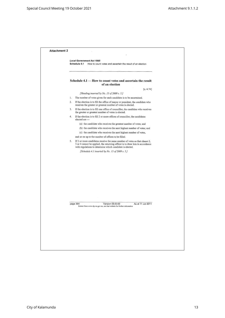